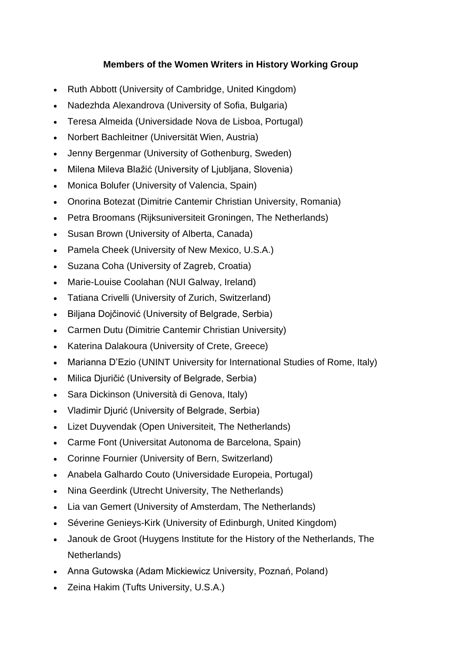## **Members of the Women Writers in History Working Group**

- Ruth Abbott (University of Cambridge, United Kingdom)
- Nadezhda Alexandrova (University of Sofia, Bulgaria)
- Teresa Almeida (Universidade Nova de Lisboa, Portugal)
- Norbert Bachleitner (Universität Wien, Austria)
- Jenny Bergenmar (University of Gothenburg, Sweden)
- Milena Mileva Blažić (University of Ljubljana, Slovenia)
- Monica Bolufer (University of Valencia, Spain)
- Onorina Botezat (Dimitrie Cantemir Christian University, Romania)
- Petra Broomans (Rijksuniversiteit Groningen, The Netherlands)
- Susan Brown (University of Alberta, Canada)
- Pamela Cheek (University of New Mexico, U.S.A.)
- Suzana Coha (University of Zagreb, Croatia)
- Marie-Louise Coolahan (NUI Galway, Ireland)
- Tatiana Crivelli (University of Zurich, Switzerland)
- Biljana Dojčinović (University of Belgrade, Serbia)
- Carmen Dutu (Dimitrie Cantemir Christian University)
- Katerina Dalakoura (University of Crete, Greece)
- Marianna D'Ezio (UNINT University for International Studies of Rome, Italy)
- Milica Djuričić (University of Belgrade, Serbia)
- Sara Dickinson (Università di Genova, Italy)
- Vladimir Djurić (University of Belgrade, Serbia)
- Lizet Duyvendak (Open Universiteit, The Netherlands)
- Carme Font (Universitat Autonoma de Barcelona, Spain)
- Corinne Fournier (University of Bern, Switzerland)
- Anabela Galhardo Couto (Universidade Europeia, Portugal)
- Nina Geerdink (Utrecht University, The Netherlands)
- Lia van Gemert (University of Amsterdam, The Netherlands)
- Séverine Genieys-Kirk (University of Edinburgh, United Kingdom)
- Janouk de Groot (Huygens Institute for the History of the Netherlands, The Netherlands)
- Anna Gutowska (Adam Mickiewicz University, Poznań, Poland)
- Zeina Hakim (Tufts University, U.S.A.)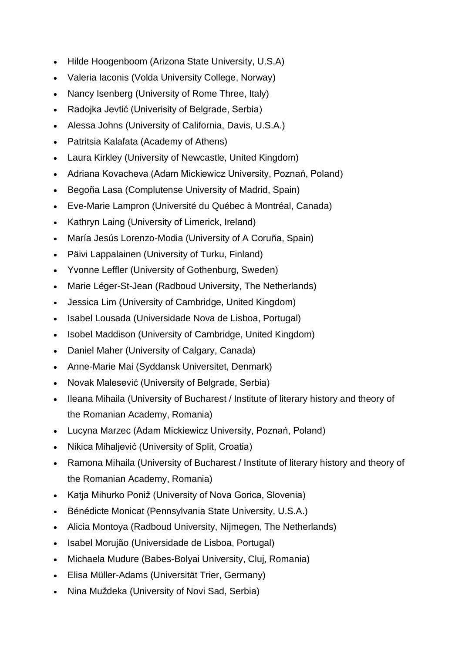- Hilde Hoogenboom (Arizona State University, U.S.A)
- Valeria Iaconis (Volda University College, Norway)
- Nancy Isenberg (University of Rome Three, Italy)
- Radojka Jevtić (Univerisity of Belgrade, Serbia)
- Alessa Johns (University of California, Davis, U.S.A.)
- Patritsia Kalafata (Academy of Athens)
- Laura Kirkley (University of Newcastle, United Kingdom)
- Adriana Kovacheva (Adam Mickiewicz University, Poznań, Poland)
- Begoña Lasa (Complutense University of Madrid, Spain)
- Eve-Marie Lampron (Université du Québec à Montréal, Canada)
- Kathryn Laing (University of Limerick, Ireland)
- María Jesús Lorenzo-Modia (University of A Coruña, Spain)
- Päivi Lappalainen (University of Turku, Finland)
- Yvonne Leffler (University of Gothenburg, Sweden)
- Marie Léger-St-Jean (Radboud University, The Netherlands)
- Jessica Lim (University of Cambridge, United Kingdom)
- Isabel Lousada (Universidade Nova de Lisboa, Portugal)
- Isobel Maddison (University of Cambridge, United Kingdom)
- Daniel Maher (University of Calgary, Canada)
- Anne-Marie Mai (Syddansk Universitet, Denmark)
- Novak Malesević (University of Belgrade, Serbia)
- Ileana Mihaila (University of Bucharest / Institute of literary history and theory of the Romanian Academy, Romania)
- Lucyna Marzec (Adam Mickiewicz University, Poznań, Poland)
- Nikica Mihaljević (University of Split, Croatia)
- Ramona Mihaila (University of Bucharest / Institute of literary history and theory of the Romanian Academy, Romania)
- Katja Mihurko Poniž (University of Nova Gorica, Slovenia)
- Bénédicte Monicat (Pennsylvania State University, U.S.A.)
- Alicia Montoya (Radboud University, Nijmegen, The Netherlands)
- Isabel Morujão (Universidade de Lisboa, Portugal)
- Michaela Mudure (Babes-Bolyai University, Cluj, Romania)
- Elisa Müller-Adams (Universität Trier, Germany)
- Nina Muždeka (University of Novi Sad, Serbia)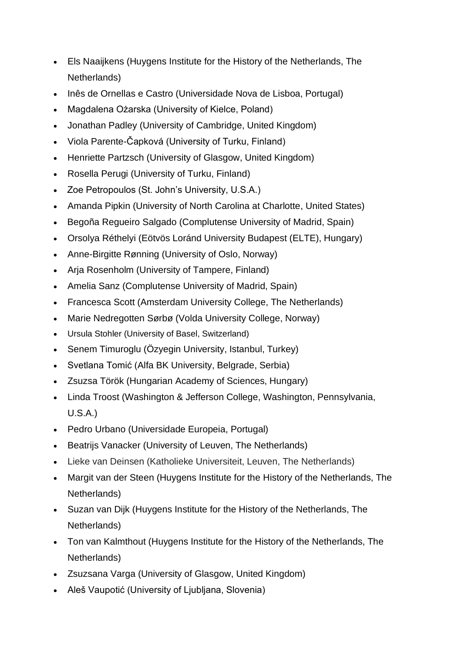- Els Naaijkens (Huygens Institute for the History of the Netherlands, The Netherlands)
- Inês de Ornellas e Castro (Universidade Nova de Lisboa, Portugal)
- Magdalena Ożarska (University of Kielce, Poland)
- Jonathan Padley (University of Cambridge, United Kingdom)
- Viola Parente-Čapková (University of Turku, Finland)
- Henriette Partzsch (University of Glasgow, United Kingdom)
- Rosella Perugi (University of Turku, Finland)
- Zoe Petropoulos (St. John's University, U.S.A.)
- Amanda Pipkin (University of North Carolina at Charlotte, United States)
- Begoña Regueiro Salgado (Complutense University of Madrid, Spain)
- Orsolya Réthelyi (Eötvös Loránd University Budapest (ELTE), Hungary)
- Anne-Birgitte Rønning (University of Oslo, Norway)
- Arja Rosenholm (University of Tampere, Finland)
- Amelia Sanz (Complutense University of Madrid, Spain)
- Francesca Scott (Amsterdam University College, The Netherlands)
- Marie Nedregotten Sørbø (Volda University College, Norway)
- Ursula Stohler (University of Basel, Switzerland)
- Senem Timuroglu (Özyegin University, Istanbul, Turkey)
- Svetlana Tomić (Alfa BK University, Belgrade, Serbia)
- Zsuzsa Török (Hungarian Academy of Sciences, Hungary)
- Linda Troost (Washington & Jefferson College, Washington, Pennsylvania, U.S.A.)
- Pedro Urbano (Universidade Europeia, Portugal)
- Beatrijs Vanacker (University of Leuven, The Netherlands)
- Lieke van Deinsen (Katholieke Universiteit, Leuven, The Netherlands)
- Margit van der Steen (Huygens Institute for the History of the Netherlands, The Netherlands)
- Suzan van Dijk (Huygens Institute for the History of the Netherlands, The Netherlands)
- Ton van Kalmthout (Huygens Institute for the History of the Netherlands, The Netherlands)
- Zsuzsana Varga (University of Glasgow, United Kingdom)
- Aleš Vaupotić (University of Ljubljana, Slovenia)